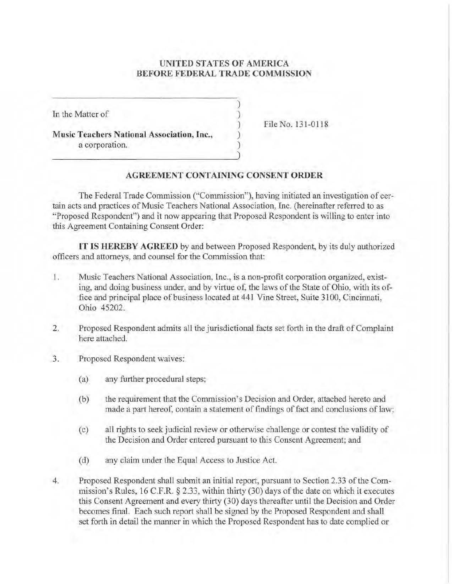## **UNITED STATES OF AMERJCA BEFORE FEDERAL TRADE COMMISSION**

)  $\lambda$ ) ) )

In the Matter of

**Music Teachers National Association, Inc.,**  a corporation.

File No. 131-0118

## **AGREEMENT CONTAINING CONSENT ORDER**

The Federal Trade Commission ("Commission"). having initiated an investigation of certain acts and practices of Music Teachers National Association, Inc. (hereinafter refened to as "Proposed Respondent") and it now appearing that Proposed Respondent is willing to enter into this Agreement Containing Consent Order:

**IT IS HEREBY AGREED** by and between Proposed Respondent, by its duly authorized officers and attorneys, and counsel for the Commission that:

- I. Music Teachers National Association, Inc., is a non-profit corporation organized, existing, and doing business under, and by virtue of, the laws of the State of Ohio, with its office and principal place of business located at 441 Vine Street, Suite 3100, Cincinnati, Ohio 45202.
- 2. Proposed Respondent admits all the jurisdictional facts set forth in the draft of Complaint here attached.
- 3. Proposed Respondent waives:
	- (a) any further procedural steps;
	- (b) the requirement that the Commission's Decision and Order, attached hereto and made a part hereof, contain a statement of findings of fact and conclusions of law:
	- (c) all rights to seek judicial review or otherwise challenge or contest the validity of the Decision and Order entered pursuant to this Consent Agreement; and
	- (d) any claim under the Equal Access to Justice Act.
- 4. Proposed Respondent shall submit an initial report, pursuant to Section 2.33 of the Commission's Rules, 16 C.F.R. § 2.33, within thirty (30) days of the date on which it executes this Consent Agreement and every thirty (30) days thereafter until the Decisjon and Order becomes tinal. Each such report shall be signed by the Proposed Respondent and shall set forth in detail the manner in which the Proposed Respondent has to date complied or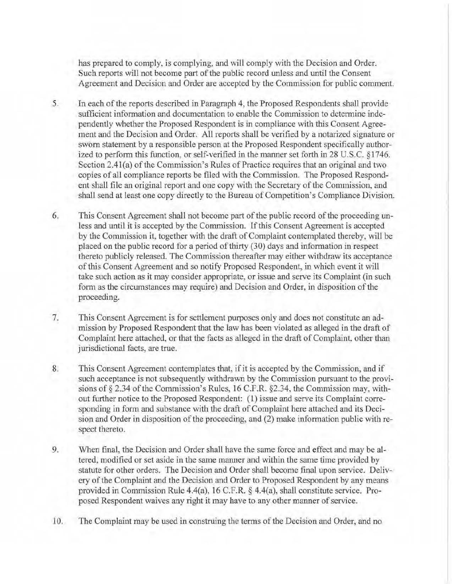has prepared to comply, is complying, and will comply with the Decision and Order. Such reports will not become part of the public record unless and until the Consent Agreement and Decision and Order are accepted by the Commission for public comment.

- 5. In each of the reports described in Paragraph 4> the Proposed Respondents shall provide sufficient information and documentation to enable the Commission to determine independently whether the Proposed Respondent is in compliance with this Consent Agreement and the Decision and Order. All reports shall be verified by a notarized signature or sworn statement by a responsible person at the Proposed Respondent specifically authorized to perform this function, or self-verified in the manner set forth in 28 U.S.C. §1746. Section 2.41(a) of the Commission's Rules of Practice requires that an original and two copies of all compliance reports be flied with the Conunission. The Proposed Respondent shall file an original report and one copy with the Secretary of the Commission, and shall send at least one copy directly to the Bureau of Competition's Compliance Division.
- 6. This Consent Agreement shall not become part of the public record of the proceeding unless and until it is accepted by the Cornmissjon. If this Consent Agreement is accepted by the Commission it, together with the draft of Complaint contemplated thereby, will be placed on the public record for a period of thirty (30) days and information in respect thereto publicly released. The Commission thereafter may either withdraw its acceptance of this Consent Agreement and so notify Proposed Respondent, in which event it will take such action as it may consider appropriate, or issue and serve its Complaint (in such form as the circumstances may require) and Decision and Order, in disposition of the proceeding.
- 7. This Consent Agreement is for settlement purposes only and does not constitute an admission by Proposed Respondent that the law has been violated as alleged in the draft of Complaint here attached, or that the facts as alleged in the draft of Complaint. other than jurisdictional facts, are true.
- 8. This Consent Agreement contemplates that, if it is accepted by the Commission, and if such acceptance is not subsequently Withdrawn by the Commission pursuant to the provisions of  $\S 2.34$  of the Commission's Rules, 16 C.F.R.  $\S 2.34$ , the Commission may, without further notice to the Proposed Respondent: (1) issue and serve its Complaint corresponding in form and substance with the draft of Complaint here attached and its Decision and Order in disposition of the proceeding, and (2) make information public with respect thereto.
- 9. When final, the Decision and Order shall have the same force and effect and may be altered, modified or set aside in the same manner and within the same time provided by statute for other orders. The Decision and Order shall become final upon service. Delivery of the Complaint and the Decision and Order to Proposed Respondent by any means provided in Commission Rule 4.4(a), 16 C.F.R. § 4.4(a), shall constitute service. Proposed Respondent waives any right it may have to any other manner of service.
- 10. The Complaint may be used in construing the terms of the Decision and Order, and no